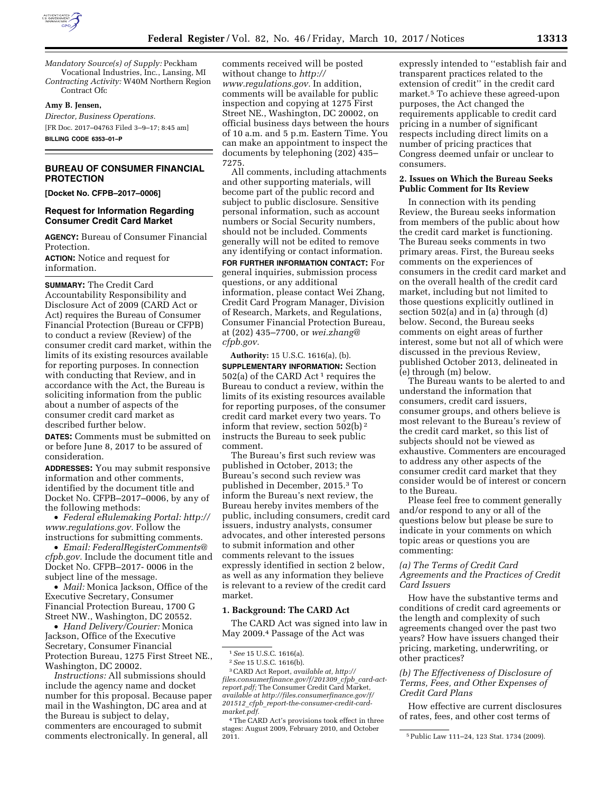

*Mandatory Source(s) of Supply:* Peckham Vocational Industries, Inc., Lansing, MI *Contracting Activity:* W40M Northern Region Contract Ofc

#### **Amy B. Jensen,**

*Director, Business Operations.*  [FR Doc. 2017–04763 Filed 3–9–17; 8:45 am] **BILLING CODE 6353–01–P** 

## **BUREAU OF CONSUMER FINANCIAL PROTECTION**

**[Docket No. CFPB–2017–0006]** 

### **Request for Information Regarding Consumer Credit Card Market**

**AGENCY:** Bureau of Consumer Financial Protection.

**ACTION:** Notice and request for information.

**SUMMARY:** The Credit Card Accountability Responsibility and Disclosure Act of 2009 (CARD Act or Act) requires the Bureau of Consumer Financial Protection (Bureau or CFPB) to conduct a review (Review) of the consumer credit card market, within the limits of its existing resources available for reporting purposes. In connection with conducting that Review, and in accordance with the Act, the Bureau is soliciting information from the public about a number of aspects of the consumer credit card market as described further below.

**DATES:** Comments must be submitted on or before June 8, 2017 to be assured of consideration.

**ADDRESSES:** You may submit responsive information and other comments, identified by the document title and Docket No. CFPB–2017–0006, by any of the following methods:

• *Federal eRulemaking Portal: [http://](http://www.regulations.gov)  [www.regulations.gov.](http://www.regulations.gov)* Follow the instructions for submitting comments.

• *Email: [FederalRegisterComments@](mailto:FederalRegisterComments@cfpb.gov) [cfpb.gov.](mailto:FederalRegisterComments@cfpb.gov)* Include the document title and Docket No. CFPB–2017- 0006 in the subject line of the message.

• *Mail:* Monica Jackson, Office of the Executive Secretary, Consumer Financial Protection Bureau, 1700 G Street NW., Washington, DC 20552.

• *Hand Delivery/Courier:* Monica Jackson, Office of the Executive Secretary, Consumer Financial Protection Bureau, 1275 First Street NE., Washington, DC 20002.

*Instructions:* All submissions should include the agency name and docket number for this proposal. Because paper mail in the Washington, DC area and at the Bureau is subject to delay, commenters are encouraged to submit comments electronically. In general, all

comments received will be posted without change to *[http://](http://www.regulations.gov) [www.regulations.gov.](http://www.regulations.gov)* In addition, comments will be available for public inspection and copying at 1275 First Street NE., Washington, DC 20002, on official business days between the hours of 10 a.m. and 5 p.m. Eastern Time. You can make an appointment to inspect the documents by telephoning (202) 435– 7275.

All comments, including attachments and other supporting materials, will become part of the public record and subject to public disclosure. Sensitive personal information, such as account numbers or Social Security numbers, should not be included. Comments generally will not be edited to remove any identifying or contact information. **FOR FURTHER INFORMATION CONTACT:** For general inquiries, submission process questions, or any additional information, please contact Wei Zhang, Credit Card Program Manager, Division of Research, Markets, and Regulations, Consumer Financial Protection Bureau, at (202) 435–7700, or *[wei.zhang@](mailto:wei.zhang@cfpb.gov) [cfpb.gov.](mailto:wei.zhang@cfpb.gov)* 

**Authority:** 15 U.S.C. 1616(a), (b). **SUPPLEMENTARY INFORMATION:** Section 502(a) of the CARD Act 1 requires the Bureau to conduct a review, within the limits of its existing resources available for reporting purposes, of the consumer credit card market every two years. To inform that review, section 502(b) 2 instructs the Bureau to seek public comment.

The Bureau's first such review was published in October, 2013; the Bureau's second such review was published in December, 2015.3 To inform the Bureau's next review, the Bureau hereby invites members of the public, including consumers, credit card issuers, industry analysts, consumer advocates, and other interested persons to submit information and other comments relevant to the issues expressly identified in section 2 below, as well as any information they believe is relevant to a review of the credit card market.

## **1. Background: The CARD Act**

The CARD Act was signed into law in May 2009.4 Passage of the Act was

3CARD Act Report, *available at, [http://](http://files.consumerfinance.gov/f/201309_cfpb_card-act-report.pdf) [files.consumerfinance.gov/f/201309](http://files.consumerfinance.gov/f/201309_cfpb_card-act-report.pdf)*\_*cfpb*\_*card-act[report.pdf;](http://files.consumerfinance.gov/f/201309_cfpb_card-act-report.pdf)* The Consumer Credit Card Market, *available at [http://files.consumerfinance.gov/f/](http://files.consumerfinance.gov/f/201512_cfpb_report-the-consumer-credit-card-market.pdf)  201512*\_*cfpb*\_*[report-the-consumer-credit-card](http://files.consumerfinance.gov/f/201512_cfpb_report-the-consumer-credit-card-market.pdf)[market.pdf.](http://files.consumerfinance.gov/f/201512_cfpb_report-the-consumer-credit-card-market.pdf)* 

4The CARD Act's provisions took effect in three stages: August 2009, February 2010, and October

expressly intended to ''establish fair and transparent practices related to the extension of credit'' in the credit card market.5 To achieve these agreed-upon purposes, the Act changed the requirements applicable to credit card pricing in a number of significant respects including direct limits on a number of pricing practices that Congress deemed unfair or unclear to consumers.

## **2. Issues on Which the Bureau Seeks Public Comment for Its Review**

In connection with its pending Review, the Bureau seeks information from members of the public about how the credit card market is functioning. The Bureau seeks comments in two primary areas. First, the Bureau seeks comments on the experiences of consumers in the credit card market and on the overall health of the credit card market, including but not limited to those questions explicitly outlined in section 502(a) and in (a) through (d) below. Second, the Bureau seeks comments on eight areas of further interest, some but not all of which were discussed in the previous Review, published October 2013, delineated in (e) through (m) below.

The Bureau wants to be alerted to and understand the information that consumers, credit card issuers, consumer groups, and others believe is most relevant to the Bureau's review of the credit card market, so this list of subjects should not be viewed as exhaustive. Commenters are encouraged to address any other aspects of the consumer credit card market that they consider would be of interest or concern to the Bureau.

Please feel free to comment generally and/or respond to any or all of the questions below but please be sure to indicate in your comments on which topic areas or questions you are commenting:

## *(a) The Terms of Credit Card Agreements and the Practices of Credit Card Issuers*

How have the substantive terms and conditions of credit card agreements or the length and complexity of such agreements changed over the past two years? How have issuers changed their pricing, marketing, underwriting, or other practices?

## *(b) The Effectiveness of Disclosure of Terms, Fees, and Other Expenses of Credit Card Plans*

How effective are current disclosures of rates, fees, and other cost terms of

<sup>1</sup>*See* 15 U.S.C. 1616(a).

<sup>2</sup>*See* 15 U.S.C. 1616(b).

<sup>&</sup>lt;sup>5</sup> Public Law 111-24, 123 Stat. 1734 (2009).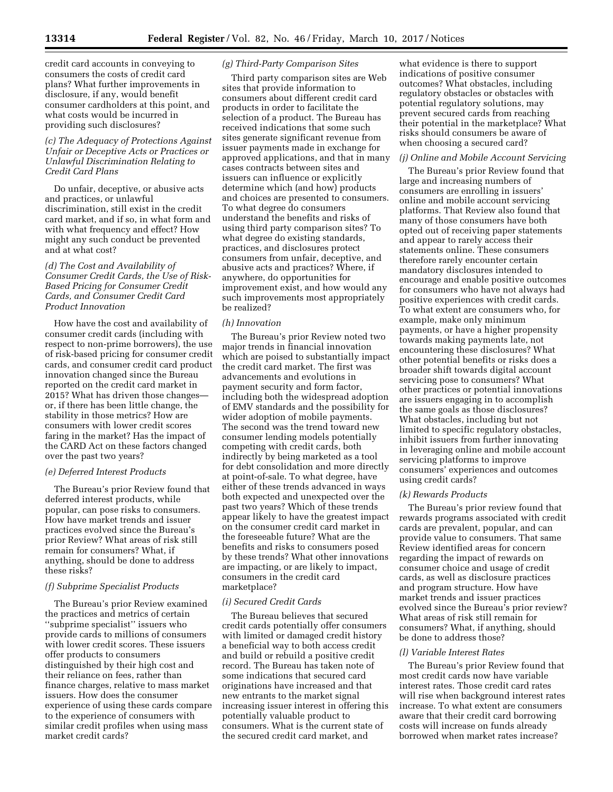credit card accounts in conveying to consumers the costs of credit card plans? What further improvements in disclosure, if any, would benefit consumer cardholders at this point, and what costs would be incurred in providing such disclosures?

## *(c) The Adequacy of Protections Against Unfair or Deceptive Acts or Practices or Unlawful Discrimination Relating to Credit Card Plans*

Do unfair, deceptive, or abusive acts and practices, or unlawful discrimination, still exist in the credit card market, and if so, in what form and with what frequency and effect? How might any such conduct be prevented and at what cost?

## *(d) The Cost and Availability of Consumer Credit Cards, the Use of Risk-Based Pricing for Consumer Credit Cards, and Consumer Credit Card Product Innovation*

How have the cost and availability of consumer credit cards (including with respect to non-prime borrowers), the use of risk-based pricing for consumer credit cards, and consumer credit card product innovation changed since the Bureau reported on the credit card market in 2015? What has driven those changes or, if there has been little change, the stability in those metrics? How are consumers with lower credit scores faring in the market? Has the impact of the CARD Act on these factors changed over the past two years?

## *(e) Deferred Interest Products*

The Bureau's prior Review found that deferred interest products, while popular, can pose risks to consumers. How have market trends and issuer practices evolved since the Bureau's prior Review? What areas of risk still remain for consumers? What, if anything, should be done to address these risks?

## *(f) Subprime Specialist Products*

The Bureau's prior Review examined the practices and metrics of certain ''subprime specialist'' issuers who provide cards to millions of consumers with lower credit scores. These issuers offer products to consumers distinguished by their high cost and their reliance on fees, rather than finance charges, relative to mass market issuers. How does the consumer experience of using these cards compare to the experience of consumers with similar credit profiles when using mass market credit cards?

## *(g) Third-Party Comparison Sites*

Third party comparison sites are Web sites that provide information to consumers about different credit card products in order to facilitate the selection of a product. The Bureau has received indications that some such sites generate significant revenue from issuer payments made in exchange for approved applications, and that in many cases contracts between sites and issuers can influence or explicitly determine which (and how) products and choices are presented to consumers. To what degree do consumers understand the benefits and risks of using third party comparison sites? To what degree do existing standards, practices, and disclosures protect consumers from unfair, deceptive, and abusive acts and practices? Where, if anywhere, do opportunities for improvement exist, and how would any such improvements most appropriately be realized?

### *(h) Innovation*

The Bureau's prior Review noted two major trends in financial innovation which are poised to substantially impact the credit card market. The first was advancements and evolutions in payment security and form factor, including both the widespread adoption of EMV standards and the possibility for wider adoption of mobile payments. The second was the trend toward new consumer lending models potentially competing with credit cards, both indirectly by being marketed as a tool for debt consolidation and more directly at point-of-sale. To what degree, have either of these trends advanced in ways both expected and unexpected over the past two years? Which of these trends appear likely to have the greatest impact on the consumer credit card market in the foreseeable future? What are the benefits and risks to consumers posed by these trends? What other innovations are impacting, or are likely to impact, consumers in the credit card marketplace?

### *(i) Secured Credit Cards*

The Bureau believes that secured credit cards potentially offer consumers with limited or damaged credit history a beneficial way to both access credit and build or rebuild a positive credit record. The Bureau has taken note of some indications that secured card originations have increased and that new entrants to the market signal increasing issuer interest in offering this potentially valuable product to consumers. What is the current state of the secured credit card market, and

what evidence is there to support indications of positive consumer outcomes? What obstacles, including regulatory obstacles or obstacles with potential regulatory solutions, may prevent secured cards from reaching their potential in the marketplace? What risks should consumers be aware of when choosing a secured card?

### *(j) Online and Mobile Account Servicing*

The Bureau's prior Review found that large and increasing numbers of consumers are enrolling in issuers' online and mobile account servicing platforms. That Review also found that many of those consumers have both opted out of receiving paper statements and appear to rarely access their statements online. These consumers therefore rarely encounter certain mandatory disclosures intended to encourage and enable positive outcomes for consumers who have not always had positive experiences with credit cards. To what extent are consumers who, for example, make only minimum payments, or have a higher propensity towards making payments late, not encountering these disclosures? What other potential benefits or risks does a broader shift towards digital account servicing pose to consumers? What other practices or potential innovations are issuers engaging in to accomplish the same goals as those disclosures? What obstacles, including but not limited to specific regulatory obstacles, inhibit issuers from further innovating in leveraging online and mobile account servicing platforms to improve consumers' experiences and outcomes using credit cards?

#### *(k) Rewards Products*

The Bureau's prior review found that rewards programs associated with credit cards are prevalent, popular, and can provide value to consumers. That same Review identified areas for concern regarding the impact of rewards on consumer choice and usage of credit cards, as well as disclosure practices and program structure. How have market trends and issuer practices evolved since the Bureau's prior review? What areas of risk still remain for consumers? What, if anything, should be done to address those?

#### *(l) Variable Interest Rates*

The Bureau's prior Review found that most credit cards now have variable interest rates. Those credit card rates will rise when background interest rates increase. To what extent are consumers aware that their credit card borrowing costs will increase on funds already borrowed when market rates increase?